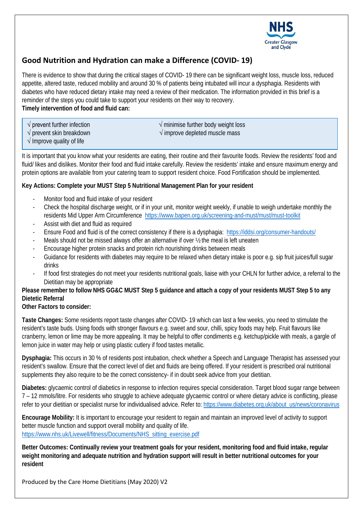

## **Good Nutrition and Hydration can make a Difference (COVID- 19)**

There is evidence to show that during the critical stages of COVID- 19 there can be significant weight loss, muscle loss, reduced appetite, altered taste, reduced mobility and around 30 % of patients being intubated will incur a dysphagia. Residents with diabetes who have reduced dietary intake may need a review of their medication. The information provided in this brief is a reminder of the steps you could take to support your residents on their way to recovery. **Timely intervention of food and fluid can:**

| $\sqrt{}$ prevent further infection |  |
|-------------------------------------|--|
|                                     |  |

 $\sqrt{\overline{m}}$  minimise further body weight loss

√ prevent skin breakdown √ improve depleted muscle mass

 $\sqrt{}$  Improve quality of life

It is important that you know what your residents are eating, their routine and their favourite foods. Review the residents' food and fluid/ likes and dislikes. Monitor their food and fluid intake carefully. Review the residents' intake and ensure maximum energy and protein options are available from your catering team to support resident choice. Food Fortification should be implemented.

## **Key Actions: Complete your MUST Step 5 Nutritional Management Plan for your resident**

- Monitor food and fluid intake of your resident
- Check the hospital discharge weight, or if in your unit, monitor weight weekly, if unable to weigh undertake monthly the residents Mid Upper Arm Circumference <https://www.bapen.org.uk/screening-and-must/must/must-toolkit>
- Assist with diet and fluid as required
- Ensure Food and fluid is of the correct consistency if there is a dysphagia: <https://iddsi.org/consumer-handouts/>
- Meals should not be missed always offer an alternative if over  $\frac{1}{2}$  the meal is left uneaten
- Encourage higher protein snacks and protein rich nourishing drinks between meals
- Guidance for residents with diabetes may require to be relaxed when dietary intake is poor e.g. sip fruit juices/full sugar drinks
- If food first strategies do not meet your residents nutritional goals, liaise with your CHLN for further advice, a referral to the Dietitian may be appropriate

## **Please remember to follow NHS GG&C MUST Step 5 guidance and attach a copy of your residents MUST Step 5 to any Dietetic Referral**

### **Other Factors to consider:**

**Taste Changes:** Some residents report taste changes after COVID- 19 which can last a few weeks, you need to stimulate the resident's taste buds. Using foods with stronger flavours e.g. sweet and sour, chilli, spicy foods may help. Fruit flavours like cranberry, lemon or lime may be more appealing. It may be helpful to offer condiments e.g. ketchup/pickle with meals, a gargle of lemon juice in water may help or using plastic cutlery if food tastes metallic.

**Dysphagia:** This occurs in 30 % of residents post intubation, check whether a Speech and Language Therapist has assessed your resident's swallow. Ensure that the correct level of diet and fluids are being offered. If your resident is prescribed oral nutritional supplements they also require to be the correct consistency- if in doubt seek advice from your dietitian.

**Diabetes:** glycaemic control of diabetics in response to infection requires special consideration. Target blood sugar range between 7 – 12 mmols/litre. For residents who struggle to achieve adequate glycaemic control or where dietary advice is conflicting, please refer to your dietitian or specialist nurse for individualised advice. Refer to: [https://www.diabetes.org.uk/about\\_us/news/coronavirus](https://www.diabetes.org.uk/about_us/news/coronavirus)

**Encourage Mobility:** It is important to encourage your resident to regain and maintain an improved level of activity to support better muscle function and support overall mobility and quality of life. [https://www.nhs.uk/Livewell/fitness/Documents/NHS\\_sitting\\_exercise.pdf](https://www.nhs.uk/Livewell/fitness/Documents/NHS_sitting_exercise.pdf)

**Better Outcomes: Continually review your treatment goals for your resident, monitoring food and fluid intake, regular weight monitoring and adequate nutrition and hydration support will result in better nutritional outcomes for your resident**

Produced by the Care Home Dietitians (May 2020) V2